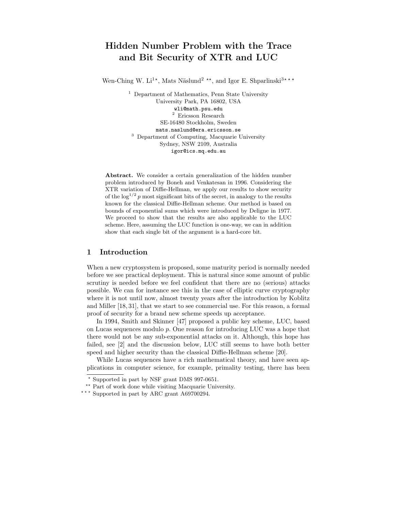# Hidden Number Problem with the Trace and Bit Security of XTR and LUC

Wen-Ching W. Li<sup>1\*</sup>, Mats Näslund<sup>2</sup><sup>\*\*</sup>, and Igor E. Shparlinski<sup>3\*\*\*</sup>

<sup>1</sup> Department of Mathematics, Penn State University University Park, PA 16802, USA wli@math.psu.edu  $^{\rm 2}$  Ericsson Research SE-16480 Stockholm, Sweden mats.naslund@era.ericsson.se <sup>3</sup> Department of Computing, Macquarie University Sydney, NSW 2109, Australia igor@ics.mq.edu.au

Abstract. We consider a certain generalization of the hidden number problem introduced by Boneh and Venkatesan in 1996. Considering the XTR variation of Diffie-Hellman, we apply our results to show security of the  $\log^{1/2} p$  most significant bits of the secret, in analogy to the results known for the classical Diffie-Hellman scheme. Our method is based on bounds of exponential sums which were introduced by Deligne in 1977. We proceed to show that the results are also applicable to the LUC scheme. Here, assuming the LUC function is one-way, we can in addition show that each single bit of the argument is a hard-core bit.

## 1 Introduction

When a new cryptosystem is proposed, some maturity period is normally needed before we see practical deployment. This is natural since some amount of public scrutiny is needed before we feel confident that there are no (serious) attacks possible. We can for instance see this in the case of elliptic curve cryptography where it is not until now, almost twenty years after the introduction by Koblitz and Miller [18, 31], that we start to see commercial use. For this reason, a formal proof of security for a brand new scheme speeds up acceptance.

In 1994, Smith and Skinner [47] proposed a public key scheme, LUC, based on Lucas sequences modulo p. One reason for introducing LUC was a hope that there would not be any sub-exponential attacks on it. Although, this hope has failed, see [2] and the discussion below, LUC still seems to have both better speed and higher security than the classical Diffie-Hellman scheme [20].

While Lucas sequences have a rich mathematical theory, and have seen applications in computer science, for example, primality testing, there has been

<sup>?</sup> Supported in part by NSF grant DMS 997-0651.

<sup>\*\*</sup> Part of work done while visiting Macquarie University.

<sup>\*\*\*</sup> Supported in part by ARC grant A69700294.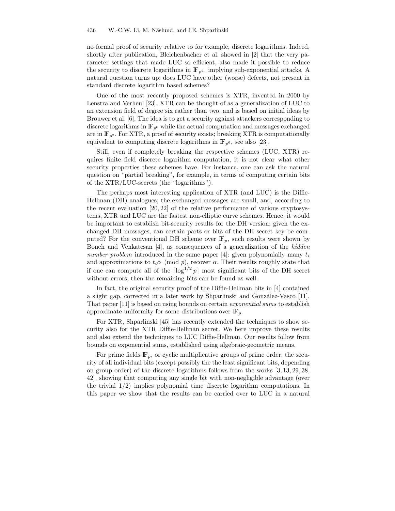no formal proof of security relative to for example, discrete logarithms. Indeed, shortly after publication, Bleichenbacher et al. showed in [2] that the very parameter settings that made LUC so efficient, also made it possible to reduce the security to discrete logarithms in  $\mathbb{F}_{p^2}$ , implying sub-exponential attacks. A natural question turns up: does LUC have other (worse) defects, not present in standard discrete logarithm based schemes?

One of the most recently proposed schemes is XTR, invented in 2000 by Lenstra and Verheul [23]. XTR can be thought of as a generalization of LUC to an extension field of degree six rather than two, and is based on initial ideas by Brouwer et al. [6]. The idea is to get a security against attackers corresponding to discrete logarithms in  $\mathbb{F}_{p^6}$  while the actual computation and messages exchanged are in  $\mathbb{F}_{p^2}$ . For XTR, a proof of security exists; breaking XTR is computationally equivalent to computing discrete logarithms in  $\mathbb{F}_{p^6}$ , see also [23].

Still, even if completely breaking the respective schemes (LUC, XTR) requires finite field discrete logarithm computation, it is not clear what other security properties these schemes have. For instance, one can ask the natural question on "partial breaking", for example, in terms of computing certain bits of the XTR/LUC-secrets (the "logarithms").

The perhaps most interesting application of XTR (and LUC) is the Diffie-Hellman (DH) analogues; the exchanged messages are small, and, according to the recent evaluation [20, 22] of the relative performance of various cryptosystems, XTR and LUC are the fastest non-elliptic curve schemes. Hence, it would be important to establish bit-security results for the DH version; given the exchanged DH messages, can certain parts or bits of the DH secret key be computed? For the conventional DH scheme over  $\mathbb{F}_p$ , such results were shown by Boneh and Venkatesan [4], as consequences of a generalization of the hidden number problem introduced in the same paper [4]: given polynomially many  $t_i$ and approximations to  $t_i\alpha \pmod{p}$ , recover  $\alpha$ . Their results roughly state that if one can compute all of the  $\lceil \log^{1/2} p \rceil$  most significant bits of the DH secret without errors, then the remaining bits can be found as well.

In fact, the original security proof of the Diffie-Hellman bits in [4] contained a slight gap, corrected in a later work by Shparlinski and González-Vasco [11]. That paper [11] is based on using bounds on certain exponential sums to establish approximate uniformity for some distributions over  $\mathbb{F}_p$ .

For XTR, Shparlinski [45] has recently extended the techniques to show security also for the XTR Diffie-Hellman secret. We here improve these results and also extend the techniques to LUC Diffie-Hellman. Our results follow from bounds on exponential sums, established using algebraic-geometric means.

For prime fields  $\mathbb{F}_p$ , or cyclic multiplicative groups of prime order, the security of all individual bits (except possibly the the least significant bits, depending on group order) of the discrete logarithms follows from the works [3, 13, 29, 38, 42], showing that computing any single bit with non-negligible advantage (over the trivial  $1/2$ ) implies polynomial time discrete logarithm computations. In this paper we show that the results can be carried over to LUC in a natural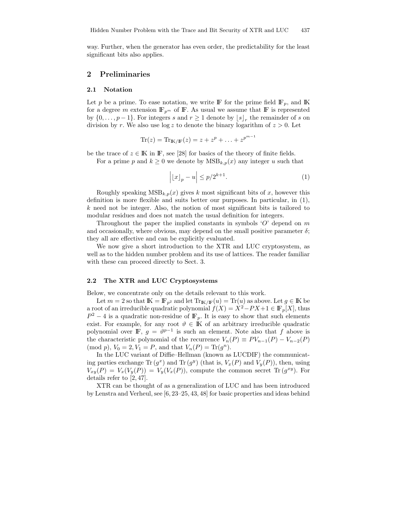way. Further, when the generator has even order, the predictability for the least significant bits also applies.

## 2 Preliminaries

#### 2.1 Notation

Let p be a prime. To ease notation, we write F for the prime field  $\mathbb{F}_p$ , and K for a degree m extension  $\mathbb{F}_{p^m}$  of F. As usual we assume that F is represented by  $\{0, \ldots, p-1\}$ . For integers s and  $r \geq 1$  denote by  $\lfloor s \rfloor_r$  the remainder of s on division by r. We also use  $\log z$  to denote the binary logarithm of  $z > 0$ . Let

$$
Tr(z) = Tr_{K/F}(z) = z + z^{p} + \ldots + z^{p^{m-1}}
$$

be the trace of  $z \in \mathbb{K}$  in F, see [28] for basics of the theory of finite fields.

For a prime p and  $k \geq 0$  we denote by  $\text{MSB}_{k,n}(x)$  any integer u such that

$$
\left| \lfloor x \rfloor_p - u \right| \le p/2^{k+1}.\tag{1}
$$

Roughly speaking  $MSB_{k,p}(x)$  gives k most significant bits of x, however this definition is more flexible and suits better our purposes. In particular, in (1), k need not be integer. Also, the notion of most significant bits is tailored to modular residues and does not match the usual definition for integers.

Throughout the paper the implied constants in symbols  $O'$  depend on m and occasionally, where obvious, may depend on the small positive parameter  $\delta$ ; they all are effective and can be explicitly evaluated.

We now give a short introduction to the XTR and LUC cryptosystem, as well as to the hidden number problem and its use of lattices. The reader familiar with these can proceed directly to Sect. 3.

#### 2.2 The XTR and LUC Cryptosystems

Below, we concentrate only on the details relevant to this work.

Let  $m = 2$  so that  $\mathbb{K} = \mathbb{F}_{p^2}$  and let  $\text{Tr}_{\mathbb{K}/\mathbb{F}}(u) = \text{Tr}(u)$  as above. Let  $g \in \mathbb{K}$  be a root of an irreducible quadratic polynomial  $f(X) = X^2 - PX + 1 \in \mathbb{F}_p[X]$ , thus  $P^2 - 4$  is a quadratic non-residue of  $\mathbb{F}_p$ . It is easy to show that such elements exist. For example, for any root  $\vartheta \in K$  of an arbitrary irreducible quadratic polynomial over  $\mathbb{F}$ ,  $g = \vartheta^{p-1}$  is such an element. Note also that f above is the characteristic polynomial of the recurrence  $V_n(P) \equiv PV_{n-1}(P) - V_{n-2}(P)$ (mod p),  $V_0 = 2, V_1 = P$ , and that  $V_n(P) = Tr(g^n)$ .

In the LUC variant of Diffie–Hellman (known as LUCDIF) the communicating parties exchange  $\text{Tr}(g^x)$  and  $\text{Tr}(g^y)$  (that is,  $V_x(P)$  and  $V_y(P)$ ), then, using  $V_{xy}(P) = V_x(V_y(P)) = V_y(V_x(P))$ , compute the common secret Tr $(g^{xy})$ . For details refer to [2, 47].

XTR can be thought of as a generalization of LUC and has been introduced by Lenstra and Verheul, see [6, 23–25, 43, 48] for basic properties and ideas behind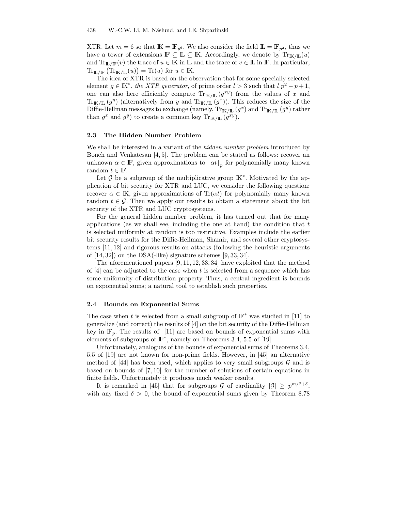XTR. Let  $m = 6$  so that  $\mathbb{K} = \mathbb{F}_{p^6}$ . We also consider the field  $\mathbb{L} = \mathbb{F}_{p^2}$ , thus we have a tower of extensions  $\mathbb{F} \subseteq \mathbb{L} \subseteq \mathbb{K}$ . Accordingly, we denote by  $\text{Tr}_{\mathbb{K}/\mathbb{L}}(u)$ and  $\text{Tr}_{\mathbb{L}/\mathbb{F}}(v)$  the trace of  $u \in \mathbb{K}$  in  $\mathbb{L}$  and the trace of  $v \in \mathbb{L}$  in  $\mathbb{F}$ . In particular,  $\mathrm{Tr}_{\mathbb{L}/\mathbb{F}}\left(\mathrm{Tr}_{\mathbb{K}/\mathbb{L}}(u)\right)=\mathrm{Tr}(u)$  for  $u\in\mathbb{K}$ .

The idea of XTR is based on the observation that for some specially selected element  $g \in \mathbb{K}^*$ , the XTR generator, of prime order  $l > 3$  such that  $l/p^2 - p + 1$ , one can also here efficiently compute  $\text{Tr}_{\mathbb{K}/\mathbb{L}}(g^{xy})$  from the values of x and  $\text{Tr}_{\mathbb{K}/\mathbb{L}}(g^y)$  (alternatively from y and  $\text{Tr}_{\mathbb{K}/\mathbb{L}}(g^x)$ ). This reduces the size of the Diffie-Hellman messages to exchange (namely,  $\text{Tr}_{\mathbb{K}/\mathbb{L}}(g^x)$  and  $\text{Tr}_{\mathbb{K}/\mathbb{L}}(g^y)$  rather than  $g^x$  and  $g^y$ ) to create a common key  $\text{Tr}_{\mathbb{K}/\mathbb{L}}(g^{xy})$ .

#### 2.3 The Hidden Number Problem

We shall be interested in a variant of the *hidden number problem* introduced by Boneh and Venkatesan [4, 5]. The problem can be stated as follows: recover an unknown  $\alpha \in \mathbb{F}$ , given approximations to  $\lfloor \alpha t \rfloor_p$  for polynomially many known random  $t \in \mathbb{F}$ .

Let  $\mathcal G$  be a subgroup of the multiplicative group  $\mathbb K^*$ . Motivated by the application of bit security for XTR and LUC, we consider the following question: recover  $\alpha \in \mathbb{K}$ , given approximations of Tr( $\alpha t$ ) for polynomially many known random  $t \in \mathcal{G}$ . Then we apply our results to obtain a statement about the bit security of the XTR and LUC cryptosystems.

For the general hidden number problem, it has turned out that for many applications (as we shall see, including the one at hand) the condition that  $t$ is selected uniformly at random is too restrictive. Examples include the earlier bit security results for the Diffie-Hellman, Shamir, and several other cryptosystems [11, 12] and rigorous results on attacks (following the heuristic arguments of  $[14, 32]$  on the DSA(-like) signature schemes  $[9, 33, 34]$ .

The aforementioned papers [9, 11, 12, 33, 34] have exploited that the method of  $[4]$  can be adjusted to the case when t is selected from a sequence which has some uniformity of distribution property. Thus, a central ingredient is bounds on exponential sums; a natural tool to establish such properties.

#### 2.4 Bounds on Exponential Sums

The case when t is selected from a small subgroup of  $\mathbb{F}^*$  was studied in [11] to generalize (and correct) the results of [4] on the bit security of the Diffie-Hellman key in  $\mathbb{F}_p$ . The results of [11] are based on bounds of exponential sums with elements of subgroups of  $\mathbb{F}^*$ , namely on Theorems 3.4, 5.5 of [19].

Unfortunately, analogues of the bounds of exponential sums of Theorems 3.4, 5.5 of [19] are not known for non-prime fields. However, in [45] an alternative method of [44] has been used, which applies to very small subgroups  $G$  and is based on bounds of [7, 10] for the number of solutions of certain equations in finite fields. Unfortunately it produces much weaker results.

It is remarked in [45] that for subgroups G of cardinality  $|\mathcal{G}| \geq p^{m/2+\delta}$ , with any fixed  $\delta > 0$ , the bound of exponential sums given by Theorem 8.78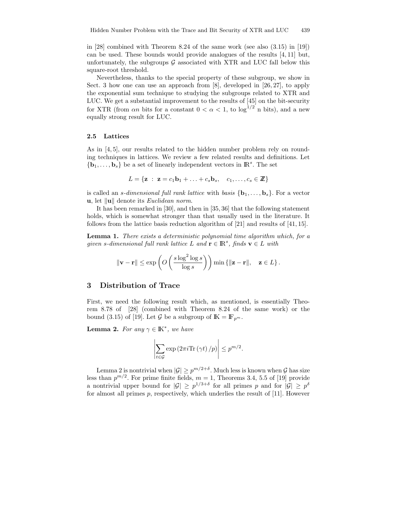in [28] combined with Theorem 8.24 of the same work (see also (3.15) in [19]) can be used. These bounds would provide analogues of the results [4, 11] but, unfortunately, the subgroups  $\mathcal G$  associated with XTR and LUC fall below this square-root threshold.

Nevertheless, thanks to the special property of these subgroup, we show in Sect. 3 how one can use an approach from [8], developed in [26, 27], to apply the exponential sum technique to studying the subgroups related to XTR and LUC. We get a substantial improvement to the results of [45] on the bit-security for XTR (from  $\alpha n$  bits for a constant  $0 < \alpha < 1$ , to  $\log^{1/2} n$  bits), and a new equally strong result for LUC.

#### 2.5 Lattices

As in [4, 5], our results related to the hidden number problem rely on rounding techniques in lattices. We review a few related results and definitions. Let  ${\bf \{b}}_1, \ldots, {\bf b}_s\}$  be a set of linearly independent vectors in  $\mathbb{R}^s$ . The set

$$
L = \{ \mathbf{z} : \mathbf{z} = c_1 \mathbf{b}_1 + \ldots + c_s \mathbf{b}_s, \quad c_1, \ldots, c_s \in \mathbb{Z} \}
$$

is called an *s*-dimensional full rank lattice with basis  ${\bf b}_1, \ldots, {\bf b}_s$ . For a vector u, let  $\|u\|$  denote its *Euclidean norm*.

It has been remarked in [30], and then in [35, 36] that the following statement holds, which is somewhat stronger than that usually used in the literature. It follows from the lattice basis reduction algorithm of [21] and results of [41, 15].

Lemma 1. There exists a deterministic polynomial time algorithm which, for a given s-dimensional full rank lattice L and  $\mathbf{r} \in \mathbb{R}^s$ , finds  $\mathbf{v} \in L$  with

$$
\|\mathbf{v} - \mathbf{r}\| \le \exp\left(O\left(\frac{s\log^2\log s}{\log s}\right)\right) \min\left\{\|\mathbf{z} - \mathbf{r}\|, \quad \mathbf{z} \in L\right\}.
$$

## 3 Distribution of Trace

First, we need the following result which, as mentioned, is essentially Theorem 8.78 of [28] (combined with Theorem 8.24 of the same work) or the bound (3.15) of [19]. Let  $\mathcal G$  be a subgroup of  $\mathbb K = \mathbb F_{p^m}$ .

**Lemma 2.** For any  $\gamma \in \mathbb{K}^*$ , we have

$$
\left| \sum_{t \in \mathcal{G}} \exp\left(2\pi i \text{Tr}\left(\gamma t\right)/p\right) \right| \leq p^{m/2}.
$$

Lemma 2 is nontrivial when  $|\mathcal{G}| \geq p^{m/2+\delta}$ . Much less is known when  $\mathcal G$  has size less than  $p^{m/2}$ . For prime finite fields,  $m = 1$ , Theorems 3.4, 5.5 of [19] provide a nontrivial upper bound for  $|\mathcal{G}| \geq p^{1/3+\delta}$  for all primes p and for  $|\mathcal{G}| \geq p^{\delta}$ for almost all primes  $p$ , respectively, which underlies the result of [11]. However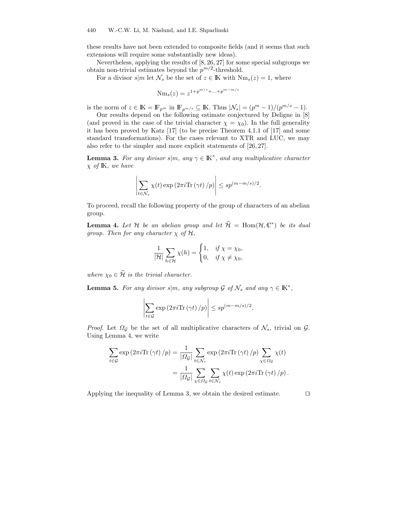these results have not been extended to composite fields (and it seems that such extensions will require some substantially new ideas).

Nevertheless, applying the results of [8, 26, 27] for some special subgroups we obtain non-trivial estimates beyond the  $p^{m/2}$ -threshold.

For a divisor  $s|m$  let  $\mathcal{N}_s$  be the set of  $z \in \mathbb{K}$  with  $Nm_s(z) = 1$ , where

$$
Nm_s(z) = z^{1 + p^{m/s} + \dots + p^{m-m/s}}
$$

is the norm of  $z \in \mathbb{K} = \mathbb{F}_{p^m}$  in  $\mathbb{F}_{p^{m/s}} \subseteq \mathbb{K}$ . Thus  $|\mathcal{N}_s| = (p^m - 1)/(p^{m/s} - 1)$ .

Our results depend on the following estimate conjectured by Deligne in [8] (and proved in the case of the trivial character  $\chi = \chi_0$ ). In the full generality it has been proved by Katz [17] (to be precise Theorem 4.1.1 of [17] and some standard transformations). For the cases relevant to XTR and LUC, we may also refer to the simpler and more explicit statements of [26, 27].

**Lemma 3.** For any divisor  $s|m$ , any  $\gamma \in \mathbb{K}^*$ , and any multiplicative character  $\chi$  of K, we have

$$
\left| \sum_{t \in \mathcal{N}_s} \chi(t) \exp\left(2\pi i \text{Tr}\left(\gamma t\right)/p\right) \right| \leq sp^{(m-m/s)/2}.
$$

To proceed, recall the following property of the group of characters of an abelian group.

**Lemma 4.** Let H be an abelian group and let  $\widehat{\mathcal{H}} = \text{Hom}(\mathcal{H}, \mathbb{C}^*)$  be its dual group. Then for any character  $\chi$  of  $H$ ,

$$
\frac{1}{|\mathcal{H}|} \sum_{h \in \mathcal{H}} \chi(h) = \begin{cases} 1, & \text{if } \chi = \chi_0, \\ 0, & \text{if } \chi \neq \chi_0, \end{cases}
$$

where  $\chi_0 \in \widehat{\mathcal{H}}$  is the trivial character.

**Lemma 5.** For any divisor  $s|m$ , any subgroup  $\mathcal{G}$  of  $\mathcal{N}_s$  and any  $\gamma \in \mathbb{K}^*$ ,

$$
\left| \sum_{t \in \mathcal{G}} \exp\left(2\pi i \text{Tr}\left(\gamma t\right)/p\right) \right| \leq sp^{(m-m/s)/2}.
$$

*Proof.* Let  $\Omega_{\mathcal{G}}$  be the set of all multiplicative characters of  $\mathcal{N}_s$ , trivial on  $\mathcal{G}$ . Using Lemma 4, we write

$$
\sum_{t \in \mathcal{G}} \exp\left(2\pi i \text{Tr}\left(\gamma t\right)/p\right) = \frac{1}{|\Omega_{\mathcal{G}}|} \sum_{t \in \mathcal{N}_s} \exp\left(2\pi i \text{Tr}\left(\gamma t\right)/p\right) \sum_{\chi \in \Omega_{\mathcal{G}}} \chi(t)
$$

$$
= \frac{1}{|\Omega_{\mathcal{G}}|} \sum_{\chi \in \Omega_{\mathcal{G}}} \sum_{t \in \mathcal{N}_s} \chi(t) \exp\left(2\pi i \text{Tr}\left(\gamma t\right)/p\right).
$$

Applying the inequality of Lemma 3, we obtain the desired estimate.  $\Box$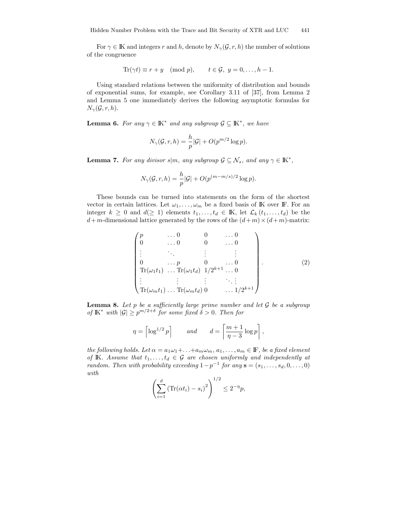For  $\gamma \in \mathbb{K}$  and integers r and h, denote by  $N_{\gamma}(\mathcal{G}, r, h)$  the number of solutions of the congruence

$$
\text{Tr}(\gamma t) \equiv r + y \pmod{p}, \qquad t \in \mathcal{G}, \ y = 0, \dots, h - 1.
$$

Using standard relations between the uniformity of distribution and bounds of exponential sums, for example, see Corollary 3.11 of [37], from Lemma 2 and Lemma 5 one immediately derives the following asymptotic formulas for  $N_{\gamma}(\mathcal{G}, r, h).$ 

**Lemma 6.** For any  $\gamma \in K^*$  and any subgroup  $\mathcal{G} \subseteq K^*$ , we have

$$
N_{\gamma}(\mathcal{G}, r, h) = \frac{h}{p} |\mathcal{G}| + O(p^{m/2} \log p).
$$

**Lemma 7.** For any divisor  $s|m$ , any subgroup  $\mathcal{G} \subseteq \mathcal{N}_s$ , and any  $\gamma \in \mathbb{K}^*$ ,

$$
N_{\gamma}(\mathcal{G}, r, h) = \frac{h}{p} |\mathcal{G}| + O(p^{(m-m/s)/2} \log p).
$$

These bounds can be turned into statements on the form of the shortest vector in certain lattices. Let  $\omega_1, \ldots, \omega_m$  be a fixed basis of K over F. For an integer  $k \geq 0$  and  $d(\geq 1)$  elements  $t_1, \ldots, t_d \in \mathbb{K}$ , let  $\mathcal{L}_k(t_1, \ldots, t_d)$  be the  $d+m$ -dimensional lattice generated by the rows of the  $(d+m) \times (d+m)$ -matrix:

$$
\begin{pmatrix}\np & \dots 0 & 0 & \dots 0 \\
0 & \dots 0 & 0 & \dots 0 \\
\vdots & \ddots & \vdots & \vdots \\
0 & \dots p & 0 & \dots 0 \\
Tr(\omega_1 t_1) & \dots Tr(\omega_1 t_d) & 1/2^{k+1} & \dots 0 \\
\vdots & \vdots & \vdots & \ddots & \vdots \\
Tr(\omega_m t_1) & \dots Tr(\omega_m t_d) & 0 & \dots 1/2^{k+1}\n\end{pmatrix}
$$
\n(2)

**Lemma 8.** Let  $p$  be a sufficiently large prime number and let  $\mathcal G$  be a subgroup of  $\mathbb{K}^*$  with  $|\mathcal{G}| \geq p^{m/2+\delta}$  for some fixed  $\delta > 0$ . Then for

$$
\eta = \left\lceil \log^{1/2} p \right\rceil \quad and \quad d = \left\lceil \frac{m+1}{\eta-3} \log p \right\rceil,
$$

the following holds. Let  $\alpha = a_1 \omega_1 + \ldots + a_m \omega_m$ ,  $a_1, \ldots, a_m \in \mathbb{F}$ , be a fixed element of IK. Assume that  $t_1, \ldots, t_d \in \mathcal{G}$  are chosen uniformly and independently at random. Then with probability exceeding  $1-p^{-1}$  for any  $\mathbf{s} = (s_1, \ldots, s_d, 0, \ldots, 0)$ with

$$
\left(\sum_{i=1}^{d} \left(\text{Tr}(\alpha t_i) - s_i\right)^2\right)^{1/2} \le 2^{-\eta} p,
$$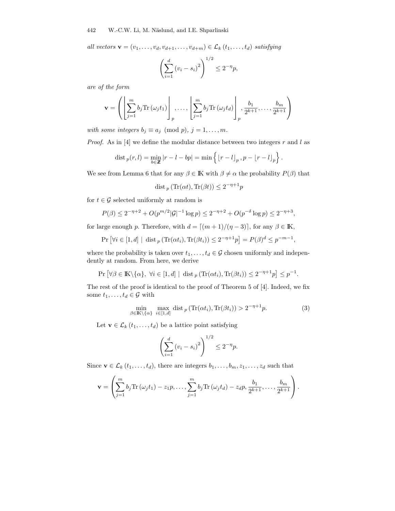all vectors  $\mathbf{v} = (v_1, \ldots, v_d, v_{d+1}, \ldots, v_{d+m}) \in \mathcal{L}_k(t_1, \ldots, t_d)$  satisfying

$$
\left(\sum_{i=1}^{d} (v_i - s_i)^2\right)^{1/2} \le 2^{-\eta} p,
$$

are of the form

$$
\mathbf{v} = \left( \left[ \sum_{j=1}^m b_j \text{Tr} \left( \omega_j t_1 \right) \right]_p, \dots, \left[ \sum_{j=1}^m b_j \text{Tr} \left( \omega_j t_d \right) \right]_p, \frac{b_1}{2^{k+1}}, \dots, \frac{b_m}{2^{k+1}} \right)
$$

with some integers  $b_j \equiv a_j \pmod{p}$ ,  $j = 1, \ldots, m$ .

*Proof.* As in [4] we define the modular distance between two integers  $r$  and  $l$  as

$$
\operatorname{dist}_{p}(r, l) = \min_{b \in \mathbb{Z}} |r - l - bp| = \min \left\{ \left\lfloor r - l \right\rfloor_{p}, p - \left\lfloor r - l \right\rfloor_{p} \right\}
$$

.

,

We see from Lemma 6 that for any  $\beta \in \mathbb{K}$  with  $\beta \neq \alpha$  the probability  $P(\beta)$  that

$$
\operatorname{dist}_p \left( \operatorname{Tr}(\alpha t), \operatorname{Tr}(\beta t) \right) \le 2^{-\eta + 1} p
$$

for  $t \in \mathcal{G}$  selected uniformly at random is

$$
P(\beta) \le 2^{-\eta+2} + O(p^{m/2}|\mathcal{G}|^{-1}\log p) \le 2^{-\eta+2} + O(p^{-\delta}\log p) \le 2^{-\eta+3},
$$

for large enough p. Therefore, with  $d = [(m + 1)/(\eta - 3)]$ , for any  $\beta \in \mathbb{K}$ ,

$$
Pr\left[\forall i \in [1, d] \mid \text{dist}_p\left(\text{Tr}(\alpha t_i), \text{Tr}(\beta t_i)\right) \le 2^{-\eta + 1}p\right] = P(\beta)^d \le p^{-m-1}
$$

where the probability is taken over  $t_1, \ldots, t_d \in \mathcal{G}$  chosen uniformly and independently at random. From here, we derive

$$
\Pr\left[\forall \beta \in \mathbb{K}\backslash\{\alpha\},\ \forall i\in[1,d]\ |\ \text{dist}_p\left(\text{Tr}(\alpha t_i),\text{Tr}(\beta t_i)\right)\leq 2^{-\eta+1}p\right] \leq p^{-1}.
$$

The rest of the proof is identical to the proof of Theorem 5 of [4]. Indeed, we fix some  $t_1, \ldots, t_d \in \mathcal{G}$  with

$$
\min_{\beta \in \mathbb{K} \setminus \{\alpha\}} \max_{i \in [1,d]} \text{dist}_p \left( \text{Tr}(\alpha t_i), \text{Tr}(\beta t_i) \right) > 2^{-\eta + 1} p. \tag{3}
$$

Let  $\mathbf{v} \in \mathcal{L}_k$   $(t_1, \ldots, t_d)$  be a lattice point satisfying

$$
\left(\sum_{i=1}^{d} (v_i - s_i)^2\right)^{1/2} \le 2^{-\eta} p.
$$

Since  $\mathbf{v} \in \mathcal{L}_k$   $(t_1, \ldots, t_d)$ , there are integers  $b_1, \ldots, b_m, z_1, \ldots, z_d$  such that

$$
\mathbf{v} = \left(\sum_{j=1}^m b_j \text{Tr}(\omega_j t_1) - z_1 p, \dots, \sum_{j=1}^m b_j \text{Tr}(\omega_j t_d) - z_d p, \frac{b_1}{2^{k+1}}, \dots, \frac{b_m}{2^{k+1}}\right).
$$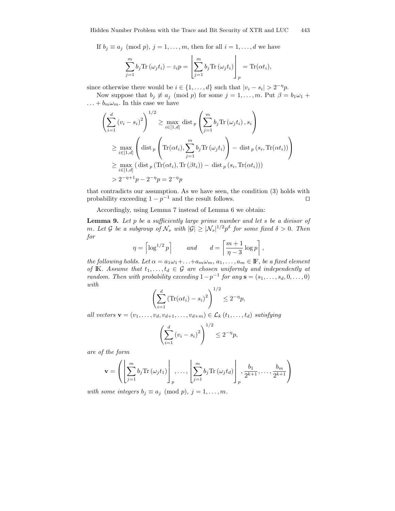If  $b_j \equiv a_j \pmod{p}$ ,  $j = 1, ..., m$ , then for all  $i = 1, ..., d$  we have

$$
\sum_{j=1}^{m} b_j \text{Tr}(\omega_j t_i) - z_i p = \left[ \sum_{j=1}^{m} b_j \text{Tr}(\omega_j t_i) \right]_p = \text{Tr}(\alpha t_i),
$$

since otherwise there would be  $i \in \{1, ..., d\}$  such that  $|v_i - s_i| > 2^{-\eta} p$ .

Now suppose that  $b_j \not\equiv a_j \pmod{p}$  for some  $j = 1, ..., m$ . Put  $\beta = b_1 \omega_1 + b_2 \omega_2$  $\dots + b_m \omega_m$ . In this case we have

$$
\left(\sum_{i=1}^{d} (v_i - s_i)^2\right)^{1/2} \ge \max_{i \in [1,d]} \text{dist}_p\left(\sum_{j=1}^{m} b_j \text{Tr}\left(\omega_j t_i\right), s_i\right)
$$
\n
$$
\ge \max_{i \in [1,d]} \left(\text{dist}_p\left(\text{Tr}(\alpha t_i), \sum_{j=1}^{m} b_j \text{Tr}\left(\omega_j t_i\right)\right) - \text{dist}_p\left(s_i, \text{Tr}(\alpha t_i)\right)\right)
$$
\n
$$
\ge \max_{i \in [1,d]} \left(\text{dist}_p\left(\text{Tr}(\alpha t_i), \text{Tr}\left(\beta t_i\right)\right) - \text{dist}_p\left(s_i, \text{Tr}(\alpha t_i)\right)\right)
$$
\n
$$
> 2^{-n+1}p - 2^{-n}p = 2^{-n}p
$$

that contradicts our assumption. As we have seen, the condition (3) holds with probability exceeding  $1 - p^{-1}$  and the result follows.

Accordingly, using Lemma 7 instead of Lemma 6 we obtain:

**Lemma 9.** Let  $p$  be a sufficiently large prime number and let  $s$  be a divisor of m. Let G be a subgroup of  $\mathcal{N}_s$  with  $|\mathcal{G}| \geq |\mathcal{N}_s|^{1/2} p^\delta$  for some fixed  $\delta > 0$ . Then for

$$
\eta = \left\lceil \log^{1/2} p \right\rceil \quad and \quad d = \left\lceil \frac{m+1}{\eta-3} \log p \right\rceil,
$$

the following holds. Let  $\alpha = a_1 \omega_1 + \ldots + a_m \omega_m$ ,  $a_1, \ldots, a_m \in \mathbb{F}$ , be a fixed element of IK. Assume that  $t_1, \ldots, t_d \in \mathcal{G}$  are chosen uniformly and independently at random. Then with probability exceeding  $1-p^{-1}$  for any  $\mathbf{s} = (s_1, \ldots, s_d, 0, \ldots, 0)$ with

$$
\left(\sum_{i=1}^{d} \left(\text{Tr}(\alpha t_i) - s_i\right)^2\right)^{1/2} \le 2^{-\eta} p,
$$

all vectors  $\mathbf{v} = (v_1, \ldots, v_d, v_{d+1}, \ldots, v_{d+m}) \in \mathcal{L}_k(t_1, \ldots, t_d)$  satisfying

$$
\left(\sum_{i=1}^{d} (v_i - s_i)^2\right)^{1/2} \le 2^{-\eta} p,
$$

are of the form

$$
\mathbf{v} = \left( \left[ \sum_{j=1}^m b_j \text{Tr} \left( \omega_j t_1 \right) \right]_p, \dots, \left[ \sum_{j=1}^m b_j \text{Tr} \left( \omega_j t_d \right) \right]_p, \frac{b_1}{2^{k+1}}, \dots, \frac{b_m}{2^{k+1}} \right)
$$

with some integers  $b_j \equiv a_j \pmod{p}$ ,  $j = 1, ..., m$ .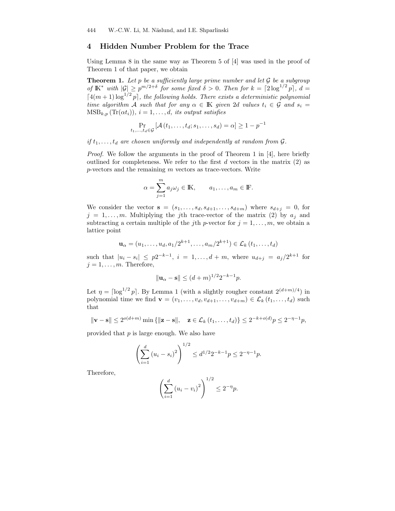# 4 Hidden Number Problem for the Trace

Using Lemma 8 in the same way as Theorem 5 of [4] was used in the proof of Theorem 1 of that paper, we obtain

**Theorem 1.** Let p be a sufficiently large prime number and let  $G$  be a subgroup of  $\mathbb{K}^*$  with  $|\mathcal{G}| \geq p^{m/2+\delta}$  for some fixed  $\delta > 0$ . Then for  $k = \lceil 2 \log^{1/2} p \rceil$ ,  $d =$  $[4(m+1)\log^{1/2} p]$ , the following holds. There exists a deterministic polynomial time algorithm A such that for any  $\alpha \in \mathbb{K}$  given 2d values  $t_i \in \mathcal{G}$  and  $s_i =$  $\text{MSB}_{k,p}(\text{Tr}(\alpha t_i)), i = 1, \ldots, d,$  its output satisfies

$$
\Pr_{t_1,\ldots,t_d\in\mathcal{G}}\left[\mathcal{A}\left(t_1,\ldots,t_d;s_1,\ldots,s_d\right)=\alpha\right]\geq 1-p^{-1}
$$

if  $t_1, \ldots, t_d$  are chosen uniformly and independently at random from  $\mathcal{G}$ .

Proof. We follow the arguments in the proof of Theorem 1 in [4], here briefly outlined for completeness. We refer to the first  $d$  vectors in the matrix  $(2)$  as  $p$ -vectors and the remaining  $m$  vectors as trace-vectors. Write

$$
\alpha = \sum_{j=1}^m a_j \omega_j \in \mathbb{K}, \qquad a_1, \dots, a_m \in \mathbb{F}.
$$

We consider the vector  $\mathbf{s} = (s_1, \ldots, s_d, s_{d+1}, \ldots, s_{d+m})$  where  $s_{d+j} = 0$ , for  $j = 1, \ldots, m$ . Multiplying the j<sup>th</sup> trace-vector of the matrix (2) by  $a_j$  and subtracting a certain multiple of the jth p-vector for  $j = 1, \ldots, m$ , we obtain a lattice point

$$
\mathbf{u}_{\alpha} = (u_1, \dots, u_d, a_1/2^{k+1}, \dots, a_m/2^{k+1}) \in \mathcal{L}_k(t_1, \dots, t_d)
$$

such that  $|u_i - s_i| \leq p2^{-k-1}, i = 1,...,d+m$ , where  $u_{d+j} = a_j/2^{k+1}$  for  $j = 1, \ldots, m$ . Therefore,

$$
\|\mathbf{u}_{\alpha} - \mathbf{s}\| \le (d+m)^{1/2} 2^{-k-1} p.
$$

Let  $\eta = \lceil \log^{1/2} p \rceil$ . By Lemma 1 (with a slightly rougher constant  $2^{(d+m)/4}$ ) in polynomial time we find  $\mathbf{v} = (v_1, \ldots, v_d, v_{d+1}, \ldots, v_{d+m}) \in \mathcal{L}_k(t_1, \ldots, t_d)$  such that

$$
\|\mathbf{v} - \mathbf{s}\| \le 2^{o(d+m)} \min{\{\|\mathbf{z} - \mathbf{s}\|, \quad \mathbf{z} \in \mathcal{L}_k(t_1, ..., t_d)\}} \le 2^{-k+o(d)} p \le 2^{-\eta-1} p,
$$

provided that  $p$  is large enough. We also have

$$
\left(\sum_{i=1}^{d} (u_i - s_i)^2\right)^{1/2} \le d^{1/2} 2^{-k-1} p \le 2^{-\eta - 1} p.
$$

Therefore,

$$
\left(\sum_{i=1}^{d} (u_i - v_i)^2\right)^{1/2} \le 2^{-\eta} p.
$$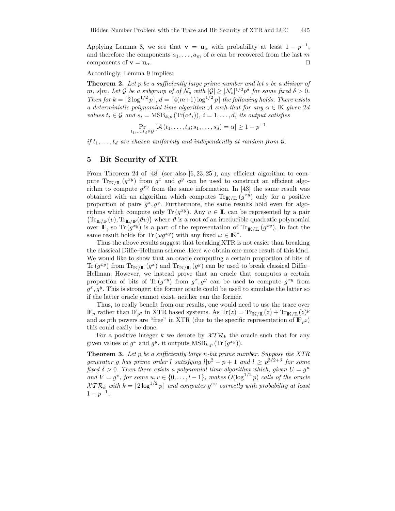Applying Lemma 8, we see that  $\mathbf{v} = \mathbf{u}_{\alpha}$  with probability at least  $1 - p^{-1}$ , and therefore the components  $a_1, \ldots, a_m$  of  $\alpha$  can be recovered from the last m components of  $\mathbf{v} = \mathbf{u}_{\alpha}$ .

Accordingly, Lemma 9 implies:

**Theorem 2.** Let p be a sufficiently large prime number and let s be a divisor of m, s|m. Let G be a subgroup of of  $\mathcal{N}_s$  with  $|\mathcal{G}| \geq |\mathcal{N}_s|^{1/2} p^\delta$  for some fixed  $\delta > 0$ . Then for  $k = \lfloor 2 \log^{1/2} p \rfloor$ ,  $d = \lfloor 4(m+1) \log^{1/2} p \rfloor$  the following holds. There exists a deterministic polynomial time algorithm A such that for any  $\alpha \in \mathbb{K}$  given 2d values  $t_i \in \mathcal{G}$  and  $s_i = \text{MSB}_{k,p}(\text{Tr}(\alpha t_i)), i = 1, \ldots, d$ , its output satisfies

$$
\Pr_{t_1,\ldots,t_d\in\mathcal{G}}\left[\mathcal{A}\left(t_1,\ldots,t_d;s_1,\ldots,s_d\right)=\alpha\right]\geq 1-p^{-1}
$$

if  $t_1, \ldots, t_d$  are chosen uniformly and independently at random from  $\mathcal{G}$ .

## 5 Bit Security of XTR

From Theorem 24 of [48] (see also [6, 23, 25]), any efficient algorithm to compute  $\text{Tr}_{\mathbb{K}/\mathbb{L}}(g^{xy})$  from  $g^x$  and  $g^y$  can be used to construct an efficient algorithm to compute  $g^{xy}$  from the same information. In [43] the same result was obtained with an algorithm which computes  $\text{Tr}_{\mathbb{K}/\mathbb{L}}(g^{xy})$  only for a positive proportion of pairs  $g^x, g^y$ . Furthermore, the same results hold even for algorithms which compute only Tr( $g^{xy}$ ). Any  $v \in \mathbb{L}$  can be represented by a pair  $(Tr_{\mathbb{L}/\mathbb{F}}(v), Tr_{\mathbb{L}/\mathbb{F}}(\vartheta v))$  where  $\vartheta$  is a root of an irreducible quadratic polynomial over IF, so Tr $(g^{xy})$  is a part of the representation of Tr<sub>K/IL</sub>  $(g^{xy})$ . In fact the same result holds for Tr  $(\omega g^{xy})$  with any fixed  $\omega \in \mathbb{K}^*$ .

Thus the above results suggest that breaking XTR is not easier than breaking the classical Diffie–Hellman scheme. Here we obtain one more result of this kind. We would like to show that an oracle computing a certain proportion of bits of  $\text{Tr}(g^{xy})$  from  $\text{Tr}_{\mathbb{K}/\mathbb{L}}(g^x)$  and  $\text{Tr}_{\mathbb{K}/\mathbb{L}}(g^y)$  can be used to break classical Diffie– Hellman. However, we instead prove that an oracle that computes a certain proportion of bits of Tr $(g^{xy})$  from  $g^x, g^y$  can be used to compute  $g^{xy}$  from  $g^x, g^y$ . This is stronger; the former oracle could be used to simulate the latter so if the latter oracle cannot exist, neither can the former.

Thus, to really benefit from our results, one would need to use the trace over  $\mathbb{F}_p$  rather than  $\mathbb{F}_{p^2}$  in XTR based systems. As  $\text{Tr}(z) = \text{Tr}_{\mathbb{K}/\mathbb{L}}(z) + \text{Tr}_{\mathbb{K}/\mathbb{L}}(z)^p$ and as pth powers are "free" in XTR (due to the specific representation of  $\mathbb{F}_{p^2}$ ) this could easily be done.

For a positive integer k we denote by  $\mathcal{X} \mathcal{T} \mathcal{R}_k$  the oracle such that for any given values of  $g^x$  and  $g^y$ , it outputs  $\text{MSB}_{k,p}(\text{Tr}(g^{xy}))$ .

**Theorem 3.** Let p be a sufficiently large n-bit prime number. Suppose the XTR generator g has prime order l satisfying  $l|p^2-p+1$  and  $l\geq p^{3/2+\delta}$  for some fixed  $\delta > 0$ . Then there exists a polynomial time algorithm which, given  $U = g^u$ and  $V = g^v$ , for some  $u, v \in \{0, \ldots, l-1\}$ , makes  $O(\log^{1/2} p)$  calls of the oracle  $\mathcal{X} \mathcal{T} \mathcal{R}_k$  with  $k = \lceil 2 \log^{1/2} p \rceil$  and computes  $g^{uv}$  correctly with probability at least  $1-p^{-1}$ .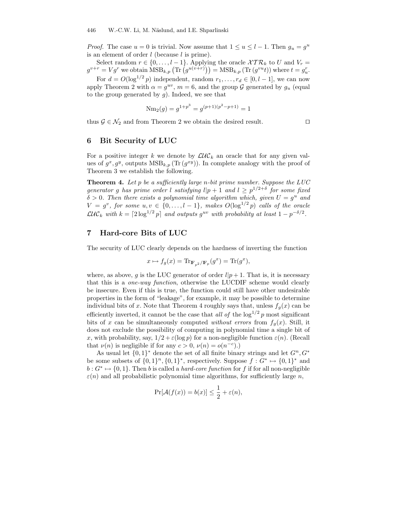*Proof.* The case  $u = 0$  is trivial. Now assume that  $1 \le u \le l - 1$ . Then  $g_u = g^u$ is an element of order  $l$  (because  $l$  is prime).

Select random  $r \in \{0, \ldots, l-1\}$ . Applying the oracle  $\mathcal{XTR}_k$  to U and  $V_r =$  $g^{v+r} = Vg^r$  we obtain  $\overline{\text{MSB}}_{k,p}(\text{Tr}\left(g^{u(v+r)}\right)) = \text{MSB}_{k,p}(\text{Tr}\left(g^{vu}t)\right)$  where  $t = g^r_u$ .

For  $d = O(\log^{1/2} p)$  independent, random  $r_1, \ldots, r_d \in [0, l-1]$ , we can now apply Theorem 2 with  $\alpha = g^{uv}$ ,  $m = 6$ , and the group  $\mathcal G$  generated by  $g_u$  (equal to the group generated by  $g$ ). Indeed, we see that

$$
Nm_2(g) = g^{1+p^3} = g^{(p+1)(p^2 - p + 1)} = 1
$$

thus  $\mathcal{G} \in \mathcal{N}_2$  and from Theorem 2 we obtain the desired result.  $\square$ 

# 6 Bit Security of LUC

For a positive integer k we denote by  $\mathcal{LUC}_k$  an oracle that for any given values of  $g^x, g^y$ , outputs  $\text{MSB}_{k,p}(\text{Tr}(g^{xy}))$ . In complete analogy with the proof of Theorem 3 we establish the following.

**Theorem 4.** Let  $p$  be a sufficiently large n-bit prime number. Suppose the  $LUC$ generator g has prime order l satisfying  $l|p+1 \text{ and } l \geq p^{1/2+\delta}$  for some fixed  $\delta > 0$ . Then there exists a polynomial time algorithm which, given  $U = g^u$  and  $V = g^v$ , for some  $u, v \in \{0, \ldots, l-1\}$ , makes  $O(\log^{1/2} p)$  calls of the oracle  $\mathcal{LUC}_k$  with  $k = \lceil 2\log^{1/2} p \rceil$  and outputs  $g^{uv}$  with probability at least  $1 - p^{-\delta/2}$ .

## 7 Hard-core Bits of LUC

The security of LUC clearly depends on the hardness of inverting the function

$$
x \mapsto f_g(x) = \text{Tr}_{\mathbb{F}_{p^2}/\mathbb{F}_p}(g^x) = \text{Tr}(g^x),
$$

where, as above, g is the LUC generator of order  $l|p+1$ . That is, it is necessary that this is a one-way function, otherwise the LUCDIF scheme would clearly be insecure. Even if this is true, the function could still have other undesirable properties in the form of "leakage", for example, it may be possible to determine individual bits of x. Note that Theorem 4 roughly says that, unless  $f_q(x)$  can be efficiently inverted, it cannot be the case that all of the  $\log^{1/2} p$  most significant bits of x can be simultaneously computed without errors from  $f_q(x)$ . Still, it does not exclude the possibility of computing in polynomial time a single bit of x, with probability, say,  $1/2 + \varepsilon(\log p)$  for a non-negligible function  $\varepsilon(n)$ . (Recall that  $\nu(n)$  is negligible if for any  $c > 0$ ,  $\nu(n) = o(n^{-c})$ .

As usual let  $\{0,1\}^*$  denote the set of all finite binary strings and let  $G^n, G^*$ be some subsets of  $\{0,1\}^n$ ,  $\{0,1\}^*$ , respectively. Suppose  $f: G^* \mapsto \{0,1\}^*$  and  $b: G^* \mapsto \{0,1\}.$  Then b is called a *hard-core function* for f if for all non-negligible  $\varepsilon(n)$  and all probabilistic polynomial time algorithms, for sufficiently large n,

$$
\Pr[\mathcal{A}(f(x)) = b(x)] \le \frac{1}{2} + \varepsilon(n),
$$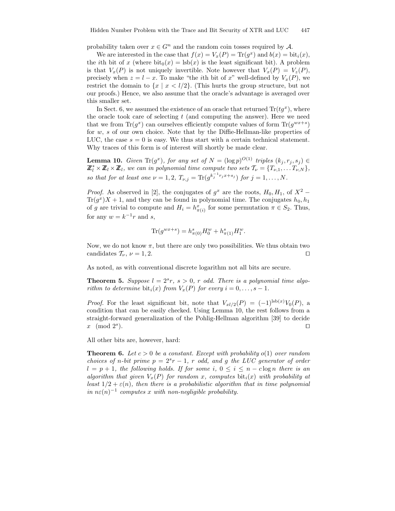probability taken over  $x \in G^n$  and the random coin tosses required by A.

We are interested in the case that  $f(x) = V_x(P) = \text{Tr}(g^x)$  and  $b(x) = \text{bit}_i(x)$ , the *i*th bit of x (where  $\text{bit}_0(x) = \text{lsb}(x)$  is the least significant bit). A problem is that  $V_x(P)$  is not uniquely invertible. Note however that  $V_x(P) = V_z(P)$ , precisely when  $z = l - x$ . To make "the *i*th bit of x" well-defined by  $V_x(P)$ , we restrict the domain to  $\{x \mid x \leq l/2\}$ . (This hurts the group structure, but not our proofs.) Hence, we also assume that the oracle's advantage is averaged over this smaller set.

In Sect. 6, we assumed the existence of an oracle that returned  $\text{Tr}(tg^x)$ , where the oracle took care of selecting  $t$  (and computing the answer). Here we need that we from  $\text{Tr}(g^x)$  can ourselves efficiently compute values of form  $\text{Tr}(g^{wx+s})$ for w, s of our own choice. Note that by the Diffie-Hellman-like properties of LUC, the case  $s = 0$  is easy. We thus start with a certain technical statement. Why traces of this form is of interest will shortly be made clear.

**Lemma 10.** Given  $\text{Tr}(g^x)$ , for any set of  $N = (\log p)^{O(1)}$  triples  $(k_j, r_j, s_j) \in$  $\mathbb{Z}_l^* \times \mathbb{Z}_l \times \mathbb{Z}_l$ , we can in polynomial time compute two sets  $\mathcal{T}_{\nu} = \{T_{\nu,1}, \ldots, T_{\nu,N}\},$ so that for at least one  $\nu = 1, 2, T_{\nu,j} = \text{Tr}(g^{k_j^{-1}r_j x + s_j})$  for  $j = 1, ..., N$ .

*Proof.* As observed in [2], the conjugates of  $g^x$  are the roots,  $H_0, H_1$ , of  $X^2$  –  $\text{Tr}(g^x)X + 1$ , and they can be found in polynomial time. The conjugates  $h_0, h_1$ of g are trivial to compute and  $H_i = h_{\pi(i)}^x$  for some permutation  $\pi \in S_2$ . Thus, for any  $w = k^{-1}r$  and s,

$$
\text{Tr}(g^{wx+s}) = h^s_{\pi(0)} H^w_0 + h^s_{\pi(1)} H^w_1.
$$

Now, we do not know  $\pi$ , but there are only two possibilities. We thus obtain two candidates  $\mathcal{T}_{\nu}$ ,  $\nu = 1, 2$ .

As noted, as with conventional discrete logarithm not all bits are secure.

**Theorem 5.** Suppose  $l = 2^s r$ ,  $s > 0$ , r odd. There is a polynomial time algorithm to determine bit<sub>i</sub> $(x)$  from  $V_x(P)$  for every  $i = 0, \ldots, s - 1$ .

*Proof.* For the least significant bit, note that  $V_{xl/2}(P) = (-1)^{lsb(x)}V_0(P)$ , a condition that can be easily checked. Using Lemma 10, the rest follows from a straight-forward generalization of the Pohlig-Hellman algorithm [39] to decide x (mod  $2^s$ ).  $\Box$ 

All other bits are, however, hard:

**Theorem 6.** Let  $c > 0$  be a constant. Except with probability  $o(1)$  over random choices of n-bit prime  $p = 2^s r - 1$ , r odd, and g the LUC generator of order  $l = p + 1$ , the following holds. If for some i,  $0 \le i \le n - c \log n$  there is an algorithm that given  $V_x(P)$  for random x, computes  $\text{bit}_i(x)$  with probability at least  $1/2 + \varepsilon(n)$ , then there is a probabilistic algorithm that in time polynomial in  $n\varepsilon(n)^{-1}$  computes x with non-negligible probability.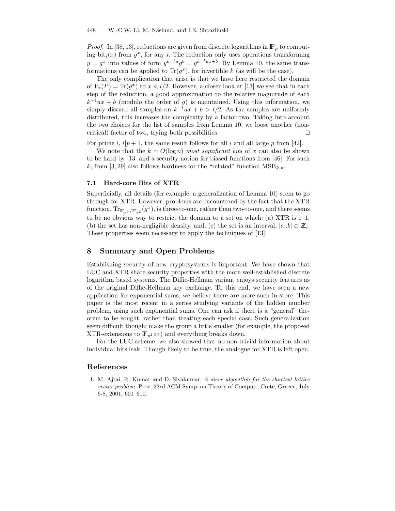*Proof.* In [38, 13], reductions are given from discrete logarithms in  $\mathbb{F}_p$  to computing bit<sub>i</sub> $(x)$  from  $g^x$ , for any *i*. The reduction only uses operations transforming  $y = g^x$  into values of form  $y^{k^{-1}a}g^b = g^{k^{-1}ax+b}$ . By Lemma 10, the same transformations can be applied to  $\text{Tr}(g^x)$ , for invertible k (as will be the case).

The only complication that arise is that we have here restricted the domain of  $V_x(P) = \text{Tr}(g^x)$  to  $x < l/2$ . However, a closer look at [13] we see that in each step of the reduction, a good approximation to the relative magnitude of each  $k^{-1}ax + b$  (modulo the order of g) is maintained. Using this information, we simply discard all samples on  $k^{-1}ax + b > l/2$ . As the samples are uniformly distributed, this increases the complexity by a factor two. Taking into account the two choices for the list of samples from Lemma 10, we loose another (noncritical) factor of two, trying both possibilities.  $\Box$ 

For prime l,  $l|p+1$ , the same result follows for all i and all large p from [42].

We note that the  $k = O(\log n)$  most significant bits of x can also be shown to be hard by [13] and a security notion for biased functions from [46]. For such k, from [3, 29] also follows hardness for the "related" function  $\text{MSB}_{k,p}$ .

#### 7.1 Hard-core Bits of XTR

Superficially, all details (for example, a generalization of Lemma 10) seem to go through for XTR. However, problems are encountered by the fact that the XTR function,  $\text{Tr}_{\mathbb{F}_{p^6}/\mathbb{F}_{p^2}}(g^x)$ , is three-to-one, rather than two-to-one, and there seems to be no obvious way to restrict the domain to a set on which: (a)  $XTR$  is 1–1, (b) the set has non-negligible density, and, (c) the set is an interval,  $[a..b] \subset \mathbb{Z}_l$ . These properties seem necessary to apply the techniques of [13].

## 8 Summary and Open Problems

Establishing security of new cryptosystems is important. We have shown that LUC and XTR share security properties with the more well-established discrete logarithm based systems. The Diffie-Hellman variant enjoys security features as of the original Diffie-Hellman key exchange. To this end, we have seen a new application for exponential sums; we believe there are more such in store. This paper is the most recent in a series studying variants of the hidden number problem, using such exponential sums. One can ask if there is a "general" theorem to be sought, rather than treating each special case. Such generalization seem difficult though: make the group a little smaller (for example, the proposed XTR-extensions to  $\mathbb{F}_{p^{2\cdot3\cdot5}}$  and everything breaks down.

For the LUC scheme, we also showed that no non-trivial information about individual bits leak. Though likely to be true, the analogue for XTR is left open.

## References

1. M. Ajtai, R. Kumar and D. Sivakumar, A sieve algorithm for the shortest lattice vector problem, Proc. 33rd ACM Symp. on Theory of Comput., Crete, Greece, July 6-8, 2001, 601–610.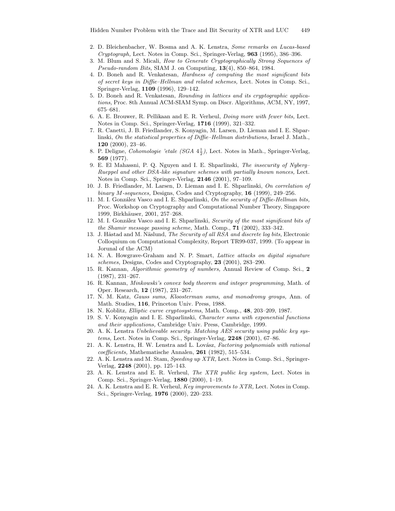- 2. D. Bleichenbacher, W. Bosma and A. K. Lenstra, Some remarks on Lucas-based  $Cryptography$ , Lect. Notes in Comp. Sci., Springer-Verlag,  $963$  (1995), 386–396.
- 3. M. Blum and S. Micali, How to Generate Cryptographically Strong Sequences of Pseudo-random Bits, SIAM J. on Computing, 13(4), 850–864, 1984.
- 4. D. Boneh and R. Venkatesan, Hardness of computing the most significant bits of secret keys in Diffie–Hellman and related schemes, Lect. Notes in Comp. Sci., Springer-Verlag, 1109 (1996), 129–142.
- 5. D. Boneh and R. Venkatesan, Rounding in lattices and its cryptographic applications, Proc. 8th Annual ACM-SIAM Symp. on Discr. Algorithms, ACM, NY, 1997, 675–681.
- 6. A. E. Brouwer, R. Pellikaan and E. R. Verheul, Doing more with fewer bits, Lect. Notes in Comp. Sci., Springer-Verlag, 1716 (1999), 321–332.
- 7. R. Canetti, J. B. Friedlander, S. Konyagin, M. Larsen, D. Lieman and I. E. Shparlinski, On the statistical properties of Diffie–Hellman distributions, Israel J. Math., 120 (2000), 23–46.
- 8. P. Deligne, *Cohomologie 'etale* (SGA  $4\frac{1}{2}$ ), Lect. Notes in Math., Springer-Verlag, 569 (1977).
- 9. E. El Mahassni, P. Q. Nguyen and I. E. Shparlinski, The insecurity of Nyberg– Rueppel and other DSA-like signature schemes with partially known nonces, Lect. Notes in Comp. Sci., Springer-Verlag, 2146 (2001), 97–109.
- 10. J. B. Friedlander, M. Larsen, D. Lieman and I. E. Shparlinski, On correlation of binary M-sequences, Designs, Codes and Cryptography, 16 (1999), 249–256.
- 11. M. I. González Vasco and I. E. Shparlinski, On the security of Diffie-Hellman bits, Proc. Workshop on Cryptography and Computational Number Theory, Singapore 1999, Birkhäuser, 2001, 257–268.
- 12. M. I. González Vasco and I. E. Shparlinski, Security of the most significant bits of the Shamir message passing scheme, Math. Comp., 71 (2002), 333–342.
- 13. J. Håstad and M. Näslund, The Security of all RSA and discrete log bits, Electronic Colloquium on Computational Complexity, Report TR99-037, 1999. (To appear in Jorunal of the ACM)
- 14. N. A. Howgrave-Graham and N. P. Smart, Lattice attacks on digital signature schemes, Designs, Codes and Cryptography, 23 (2001), 283–290.
- 15. R. Kannan, Algorithmic geometry of numbers, Annual Review of Comp. Sci., 2 (1987), 231–267.
- 16. R. Kannan, Minkowski's convex body theorem and integer programming, Math. of Oper. Research, 12 (1987), 231–267.
- 17. N. M. Katz, Gauss sums, Kloosterman sums, and monodromy groups, Ann. of Math. Studies, 116, Princeton Univ. Press, 1988.
- 18. N. Koblitz, Elliptic curve cryptosystems, Math. Comp., 48, 203–209, 1987.
- 19. S. V. Konyagin and I. E. Shparlinski, Character sums with exponential functions and their applications, Cambridge Univ. Press, Cambridge, 1999.
- 20. A. K. Lenstra Unbelievable security. Matching AES security using public key systems, Lect. Notes in Comp. Sci., Springer-Verlag, 2248 (2001), 67–86.
- 21. A. K. Lenstra, H. W. Lenstra and L. Lovász, Factoring polynomials with rational coefficients, Mathematische Annalen, 261 (1982), 515–534.
- 22. A. K. Lenstra and M. Stam, Speeding up XTR, Lect. Notes in Comp. Sci., Springer-Verlag, 2248 (2001), pp. 125–143.
- 23. A. K. Lenstra and E. R. Verheul, The XTR public key system, Lect. Notes in Comp. Sci., Springer-Verlag, 1880 (2000), 1–19.
- 24. A. K. Lenstra and E. R. Verheul, Key improvements to XTR, Lect. Notes in Comp. Sci., Springer-Verlag, 1976 (2000), 220–233.